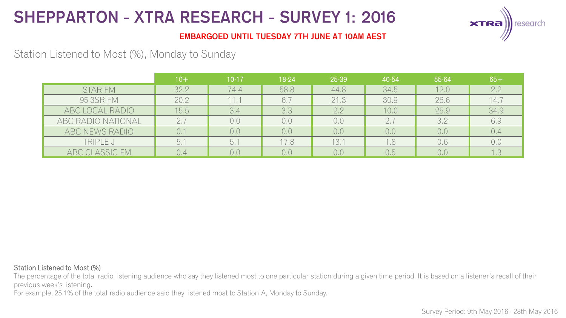

### **EMBARGOED UNTIL TUESDAY 7TH JUNE AT 10AM AEST**

## Station Listened to Most (%), Monday to Sunday

|                    | $10+$ | $10-17$ | 18-24 | 25-39         | 40-54 | 55-64 | $65+$ |
|--------------------|-------|---------|-------|---------------|-------|-------|-------|
| <b>STAR FM</b>     | 32.2  | 74.4    | 58.8  | 44.8          | 34.5  | 12.0  | 2.2   |
| 95 3SR FM          | 20.2  | 11.1    | 6.7   | 21.3          | 30.9  | 26.6  | 14.7  |
| ABC LOCAL RADIO    | 15.5  | 3.4     | 3.3   | $2.2^{\circ}$ | 10.0  | 25.9  | 34.9  |
| ABC RADIO NATIONAL | 2.7   | 0.0     | 0.0   | 0.0           | 2.7   | 3.2   | 6.9   |
| ABC NEWS RADIO     |       | 0.0     | 0.0   | 0.0           | 0,0   | 0,0   | 0.4   |
| TRIPLE J           | 5.1   | 5.1     | 17.8  | 13.1          | 1.8   | 0.6   | 0,0   |
| ABC CLASSIC FM     | 0.4   | 0.0     | 0.0   | 0.0           | 0.5   | 0.0   | 1.3   |

#### Station Listened to Most (%)

The percentage of the total radio listening audience who say they listened most to one particular station during a given time period. It is based on a listener's recall of their previous week's listening.

For example, 25.1% of the total radio audience said they listened most to Station A, Monday to Sunday.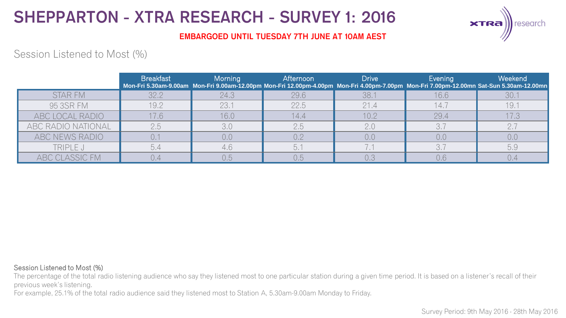

### **EMBARGOED UNTIL TUESDAY 7TH JUNE AT 10AM AEST**

### Session Listened to Most (%)

|                    | <b>Breakfast</b> | Morning | Afternoon | <b>Drive</b> | Evening | Weekend<br>Mon-Fri 5.30am-9.00am Mon-Fri 9.00am-12.00pm Mon-Fri 12.00pm-4.00pm Mon-Fri 4.00pm-7.00pm Mon-Fri 7.00pm-12.00mn Sat-Sun 5.30am-12.00mn |
|--------------------|------------------|---------|-----------|--------------|---------|----------------------------------------------------------------------------------------------------------------------------------------------------|
| <b>STAR FM</b>     | 32.2             | 24.3    | 29.6      | 38.          | 16.6    | 30.1                                                                                                                                               |
| 95 3SR FM          | 19.2             | 23.1    | 22.5      | 21.4         | 14.7    | 19.1                                                                                                                                               |
| ABC LOCAL RADIO    | 17.6             | 16.0    | 14.4      | 10.2         | 29.4    | 17.3                                                                                                                                               |
| ABC RADIO NATIONAL | 2.5              | 3,0     | 2.5       | 2,0          | 3.7     | 2.7                                                                                                                                                |
| ABC NEWS RADIO     |                  | 0.0     | 0.2       | 0.0          | 0,0     | 0,0                                                                                                                                                |
| TRIPLE J           | 5.4              | 4,6     | 5.7       |              | 3.7     | 5,9                                                                                                                                                |
| ABC CLASSIC FM     |                  |         |           |              | 0.6     |                                                                                                                                                    |

#### Session Listened to Most (%)

The percentage of the total radio listening audience who say they listened most to one particular station during a given time period. It is based on a listener's recall of their previous week's listening.

For example, 25.1% of the total radio audience said they listened most to Station A, 5.30am-9.00am Monday to Friday.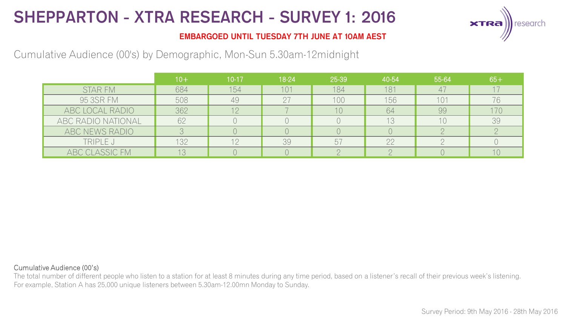

### **EMBARGOED UNTIL TUESDAY 7TH JUNE AT 10AM AEST**

## Cumulative Audience (00's) by Demographic, Mon-Sun 5.30am-12midnight

|                    | $10+$ | $10 - 17$ | 18-24 | 25-39 | 40-54 | 55-64 | $65+$ |
|--------------------|-------|-----------|-------|-------|-------|-------|-------|
| STAR FM            | 684   | 154       | 101   | 184   | 181   | 47    |       |
| 95 3SR FM          | 508   | 49        |       | 100   | 156   | 101   |       |
| ABC LOCAL RADIO    | 362   | 12        |       | 10    | 64    | 99    | 170   |
| ABC RADIO NATIONAL | 62    |           |       |       | 13    | 10    | 39    |
| ABC NEWS RADIO     |       |           |       |       |       |       |       |
| TRIPLE J           | 132   | 12        | 39    | 57    | 22    |       |       |
| ABC CLASSIC FM     |       |           |       |       |       |       |       |

#### Cumulative Audience (00's)

The total number of different people who listen to a station for at least 8 minutes during any time period, based on a listener's recall of their previous week's listening. For example, Station A has 25,000 unique listeners between 5.30am-12.00mn Monday to Sunday.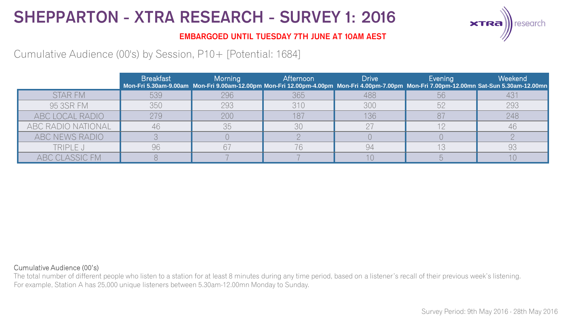

### **EMBARGOED UNTIL TUESDAY 7TH JUNE AT 10AM AEST**

Cumulative Audience (00's) by Session, P10+ [Potential: 1684]

|                    | <b>Breakfast</b> | <b>Morning</b> | Afternoon | <b>Drive</b> | Evening | Weekend<br>Mon-Fri 5.30am-9.00am Mon-Fri 9.00am-12.00pm Mon-Fri 12.00pm-4.00pm Mon-Fri 4.00pm-7.00pm Mon-Fri 7.00pm-12.00mn Sat-Sun 5.30am-12.00mn |
|--------------------|------------------|----------------|-----------|--------------|---------|----------------------------------------------------------------------------------------------------------------------------------------------------|
| STAR FM            | 539              | 296            | 365       | 488          | 56      |                                                                                                                                                    |
| 95 3SR FM          | 350              | 293            | 310       | 300          | 52      | 293                                                                                                                                                |
| ABC LOCAL RADIO    | 279              | 200            | 187       | 136          |         | 248                                                                                                                                                |
| ABC RADIO NATIONAL | 46               | 35             | 30        |              |         | 46                                                                                                                                                 |
| ABC NEWS RADIO     |                  |                |           |              |         |                                                                                                                                                    |
| TRIPLE J           | 96               |                |           | 94           |         | 93                                                                                                                                                 |
| ABC CLASSIC FM     |                  |                |           |              |         |                                                                                                                                                    |

#### Cumulative Audience (00's)

The total number of different people who listen to a station for at least 8 minutes during any time period, based on a listener's recall of their previous week's listening. For example, Station A has 25,000 unique listeners between 5.30am-12.00mn Monday to Sunday.